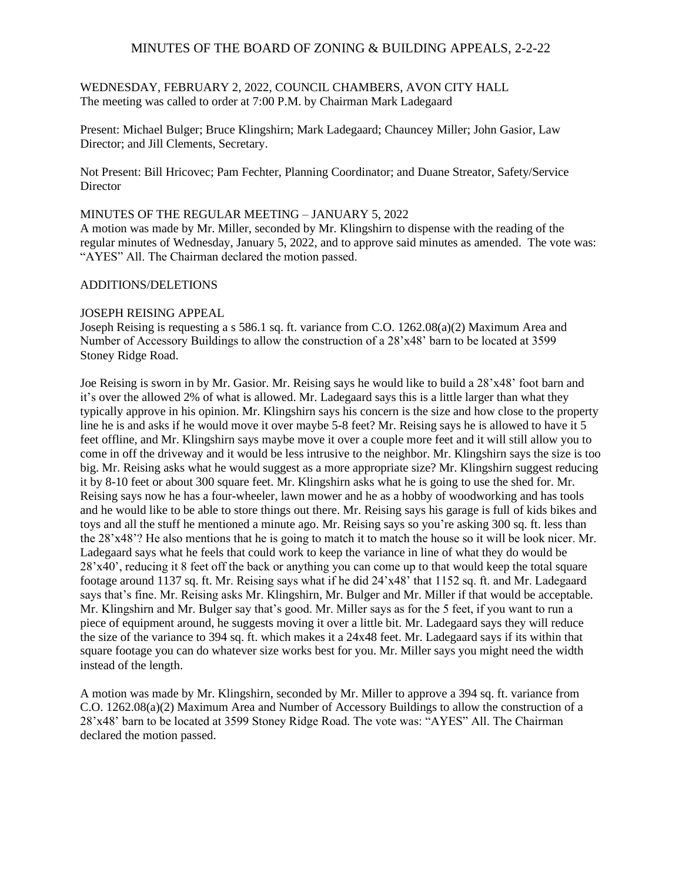# MINUTES OF THE BOARD OF ZONING & BUILDING APPEALS, 2-2-22

WEDNESDAY, FEBRUARY 2, 2022, COUNCIL CHAMBERS, AVON CITY HALL The meeting was called to order at 7:00 P.M. by Chairman Mark Ladegaard

Present: Michael Bulger; Bruce Klingshirn; Mark Ladegaard; Chauncey Miller; John Gasior, Law Director; and Jill Clements, Secretary.

Not Present: Bill Hricovec; Pam Fechter, Planning Coordinator; and Duane Streator, Safety/Service **Director** 

#### MINUTES OF THE REGULAR MEETING – JANUARY 5, 2022

A motion was made by Mr. Miller, seconded by Mr. Klingshirn to dispense with the reading of the regular minutes of Wednesday, January 5, 2022, and to approve said minutes as amended. The vote was: "AYES" All. The Chairman declared the motion passed.

### ADDITIONS/DELETIONS

#### JOSEPH REISING APPEAL

Joseph Reising is requesting a s 586.1 sq. ft. variance from C.O. 1262.08(a)(2) Maximum Area and Number of Accessory Buildings to allow the construction of a 28'x48' barn to be located at 3599 Stoney Ridge Road.

Joe Reising is sworn in by Mr. Gasior. Mr. Reising says he would like to build a 28'x48' foot barn and it's over the allowed 2% of what is allowed. Mr. Ladegaard says this is a little larger than what they typically approve in his opinion. Mr. Klingshirn says his concern is the size and how close to the property line he is and asks if he would move it over maybe 5-8 feet? Mr. Reising says he is allowed to have it 5 feet offline, and Mr. Klingshirn says maybe move it over a couple more feet and it will still allow you to come in off the driveway and it would be less intrusive to the neighbor. Mr. Klingshirn says the size is too big. Mr. Reising asks what he would suggest as a more appropriate size? Mr. Klingshirn suggest reducing it by 8-10 feet or about 300 square feet. Mr. Klingshirn asks what he is going to use the shed for. Mr. Reising says now he has a four-wheeler, lawn mower and he as a hobby of woodworking and has tools and he would like to be able to store things out there. Mr. Reising says his garage is full of kids bikes and toys and all the stuff he mentioned a minute ago. Mr. Reising says so you're asking 300 sq. ft. less than the 28'x48'? He also mentions that he is going to match it to match the house so it will be look nicer. Mr. Ladegaard says what he feels that could work to keep the variance in line of what they do would be 28'x40', reducing it 8 feet off the back or anything you can come up to that would keep the total square footage around 1137 sq. ft. Mr. Reising says what if he did 24'x48' that 1152 sq. ft. and Mr. Ladegaard says that's fine. Mr. Reising asks Mr. Klingshirn, Mr. Bulger and Mr. Miller if that would be acceptable. Mr. Klingshirn and Mr. Bulger say that's good. Mr. Miller says as for the 5 feet, if you want to run a piece of equipment around, he suggests moving it over a little bit. Mr. Ladegaard says they will reduce the size of the variance to 394 sq. ft. which makes it a 24x48 feet. Mr. Ladegaard says if its within that square footage you can do whatever size works best for you. Mr. Miller says you might need the width instead of the length.

A motion was made by Mr. Klingshirn, seconded by Mr. Miller to approve a 394 sq. ft. variance from C.O. 1262.08(a)(2) Maximum Area and Number of Accessory Buildings to allow the construction of a 28'x48' barn to be located at 3599 Stoney Ridge Road. The vote was: "AYES" All. The Chairman declared the motion passed.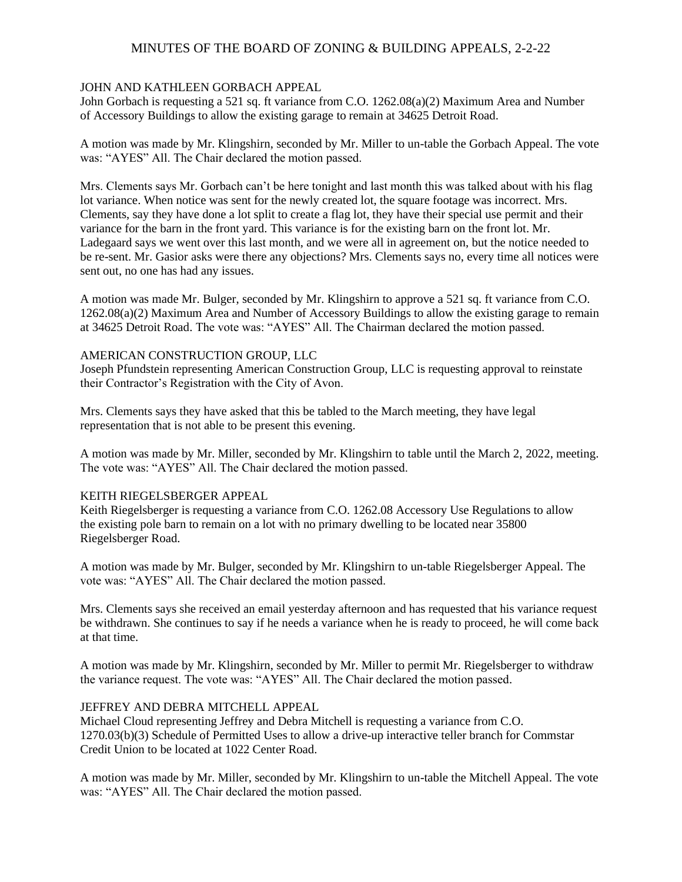# MINUTES OF THE BOARD OF ZONING & BUILDING APPEALS, 2-2-22

### JOHN AND KATHLEEN GORBACH APPEAL

John Gorbach is requesting a 521 sq. ft variance from C.O. 1262.08(a)(2) Maximum Area and Number of Accessory Buildings to allow the existing garage to remain at 34625 Detroit Road.

A motion was made by Mr. Klingshirn, seconded by Mr. Miller to un-table the Gorbach Appeal. The vote was: "AYES" All. The Chair declared the motion passed.

Mrs. Clements says Mr. Gorbach can't be here tonight and last month this was talked about with his flag lot variance. When notice was sent for the newly created lot, the square footage was incorrect. Mrs. Clements, say they have done a lot split to create a flag lot, they have their special use permit and their variance for the barn in the front yard. This variance is for the existing barn on the front lot. Mr. Ladegaard says we went over this last month, and we were all in agreement on, but the notice needed to be re-sent. Mr. Gasior asks were there any objections? Mrs. Clements says no, every time all notices were sent out, no one has had any issues.

A motion was made Mr. Bulger, seconded by Mr. Klingshirn to approve a 521 sq. ft variance from C.O. 1262.08(a)(2) Maximum Area and Number of Accessory Buildings to allow the existing garage to remain at 34625 Detroit Road. The vote was: "AYES" All. The Chairman declared the motion passed.

#### AMERICAN CONSTRUCTION GROUP, LLC

Joseph Pfundstein representing American Construction Group, LLC is requesting approval to reinstate their Contractor's Registration with the City of Avon.

Mrs. Clements says they have asked that this be tabled to the March meeting, they have legal representation that is not able to be present this evening.

A motion was made by Mr. Miller, seconded by Mr. Klingshirn to table until the March 2, 2022, meeting. The vote was: "AYES" All. The Chair declared the motion passed.

## KEITH RIEGELSBERGER APPEAL

Keith Riegelsberger is requesting a variance from C.O. 1262.08 Accessory Use Regulations to allow the existing pole barn to remain on a lot with no primary dwelling to be located near 35800 Riegelsberger Road.

A motion was made by Mr. Bulger, seconded by Mr. Klingshirn to un-table Riegelsberger Appeal. The vote was: "AYES" All. The Chair declared the motion passed.

Mrs. Clements says she received an email yesterday afternoon and has requested that his variance request be withdrawn. She continues to say if he needs a variance when he is ready to proceed, he will come back at that time.

A motion was made by Mr. Klingshirn, seconded by Mr. Miller to permit Mr. Riegelsberger to withdraw the variance request. The vote was: "AYES" All. The Chair declared the motion passed.

## JEFFREY AND DEBRA MITCHELL APPEAL

Michael Cloud representing Jeffrey and Debra Mitchell is requesting a variance from C.O. 1270.03(b)(3) Schedule of Permitted Uses to allow a drive-up interactive teller branch for Commstar Credit Union to be located at 1022 Center Road.

A motion was made by Mr. Miller, seconded by Mr. Klingshirn to un-table the Mitchell Appeal. The vote was: "AYES" All. The Chair declared the motion passed.